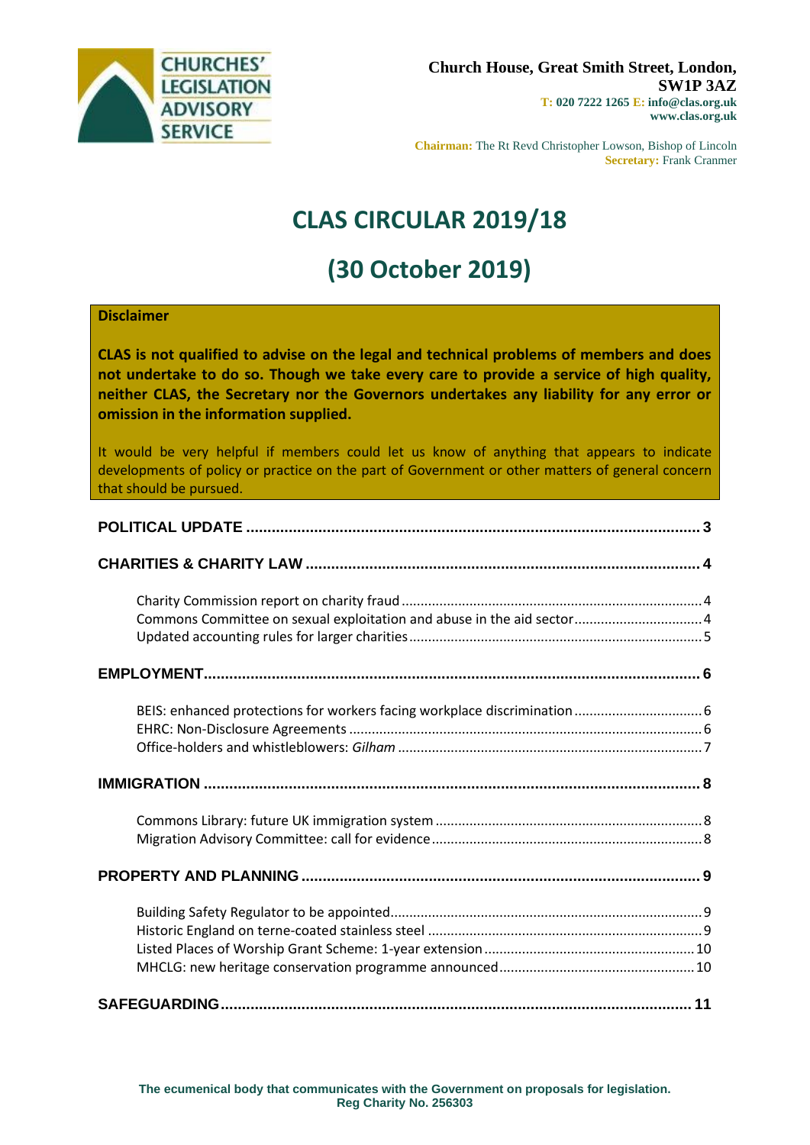

**Chairman:** The Rt Revd Christopher Lowson, Bishop of Lincoln **Secretary:** Frank Cranmer

# **CLAS CIRCULAR 2019/18**

# **(30 October 2019)**

#### **Disclaimer**

**CLAS is not qualified to advise on the legal and technical problems of members and does not undertake to do so. Though we take every care to provide a service of high quality, neither CLAS, the Secretary nor the Governors undertakes any liability for any error or omission in the information supplied.**

It would be very helpful if members could let us know of anything that appears to indicate developments of policy or practice on the part of Government or other matters of general concern that should be pursued.

| Commons Committee on sexual exploitation and abuse in the aid sector 4 |  |
|------------------------------------------------------------------------|--|
|                                                                        |  |
|                                                                        |  |
|                                                                        |  |
|                                                                        |  |
|                                                                        |  |
|                                                                        |  |
|                                                                        |  |
|                                                                        |  |
|                                                                        |  |
|                                                                        |  |
|                                                                        |  |
|                                                                        |  |
|                                                                        |  |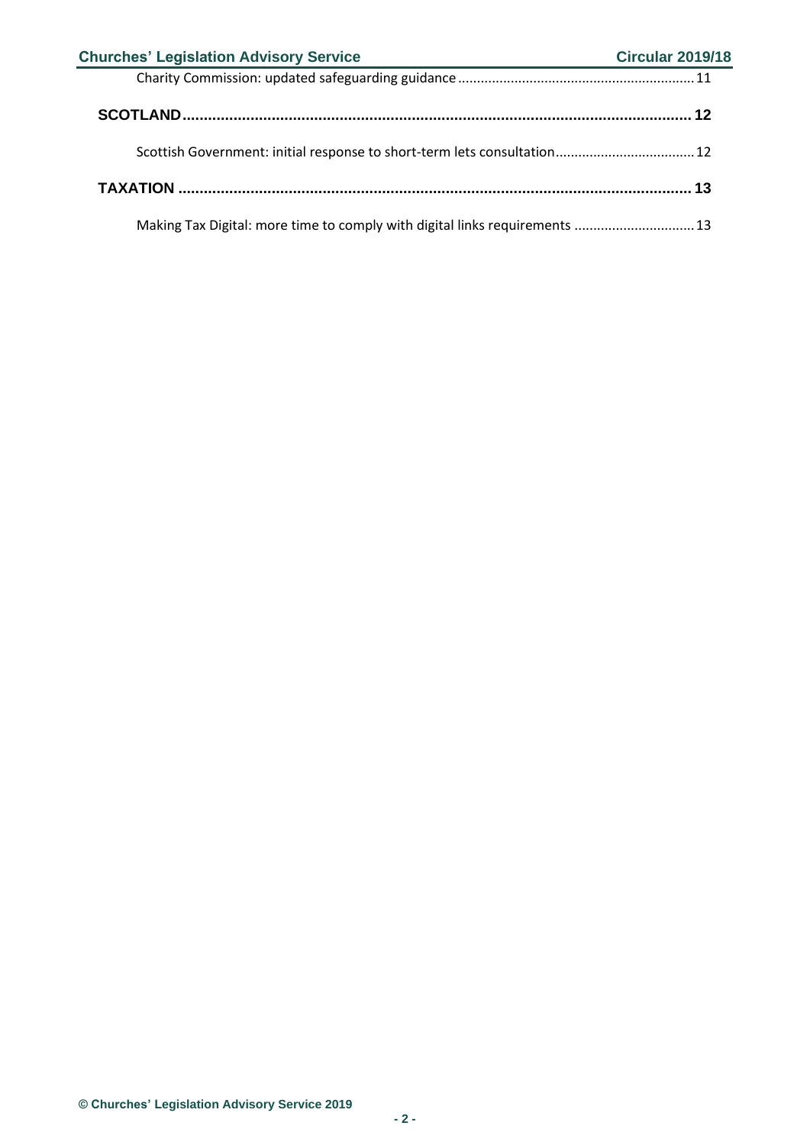| <b>Churches' Legislation Advisory Service</b>                               | <b>Circular 2019/18</b> |
|-----------------------------------------------------------------------------|-------------------------|
|                                                                             |                         |
|                                                                             |                         |
| Scottish Government: initial response to short-term lets consultation 12    |                         |
|                                                                             |                         |
| Making Tax Digital: more time to comply with digital links requirements  13 |                         |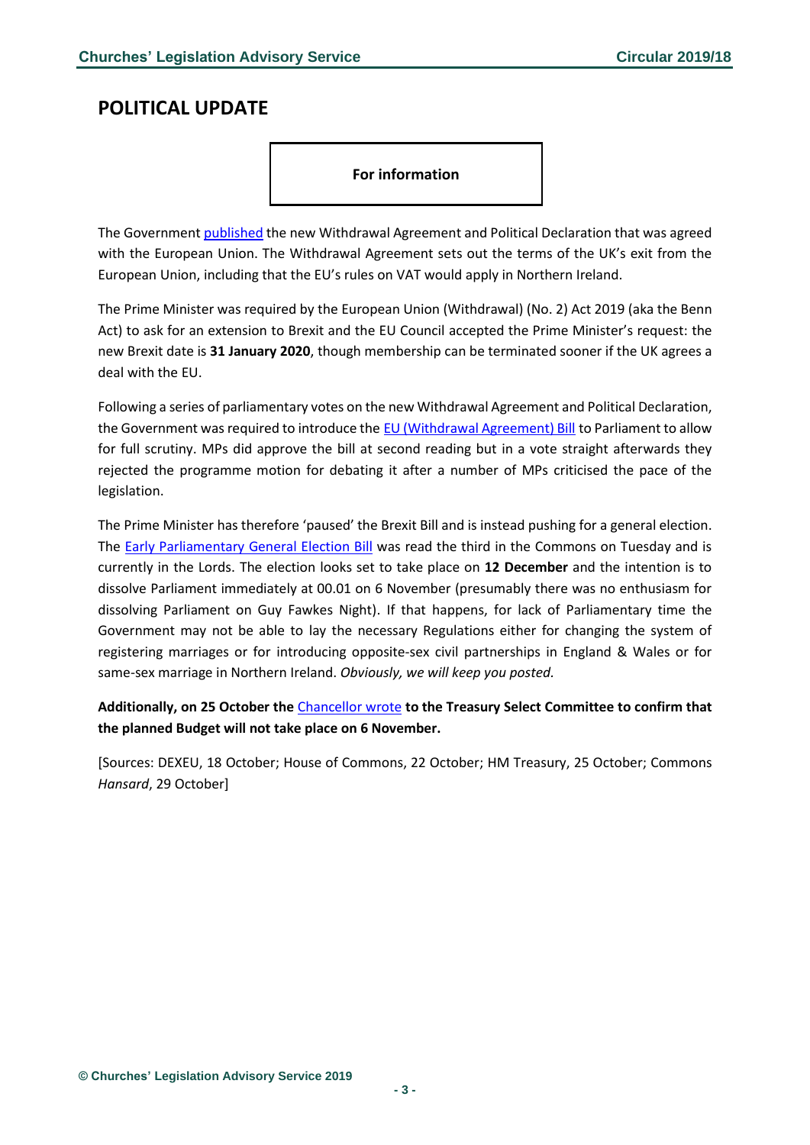## <span id="page-2-0"></span>**POLITICAL UPDATE**

#### **For information**

The Governmen[t published](https://www.gov.uk/government/publications/new-protocol-on-irelandnorthern-ireland-and-political-declaration) the new Withdrawal Agreement and Political Declaration that was agreed with the European Union. The Withdrawal Agreement sets out the terms of the UK's exit from the European Union, including that the EU's rules on VAT would apply in Northern Ireland.

The Prime Minister was required by the European Union (Withdrawal) (No. 2) Act 2019 (aka the Benn Act) to ask for an extension to Brexit and the EU Council accepted the Prime Minister's request: the new Brexit date is **31 January 2020**, though membership can be terminated sooner if the UK agrees a deal with the EU.

Following a series of parliamentary votes on the new Withdrawal Agreement and Political Declaration, the Government was required to introduce the [EU \(Withdrawal Agreement\) Bill](https://services.parliament.uk/bills/2019-20/europeanunionwithdrawalagreement.html) to Parliament to allow for full scrutiny. MPs did approve the bill at second reading but in a vote straight afterwards they rejected the programme motion for debating it after a number of MPs criticised the pace of the legislation.

The Prime Minister has therefore 'paused' the Brexit Bill and is instead pushing for a general election. The **Early Parliamentary General Election Bill** was read the third in the Commons on Tuesday and is currently in the Lords. The election looks set to take place on **12 December** and the intention is to dissolve Parliament immediately at 00.01 on 6 November (presumably there was no enthusiasm for dissolving Parliament on Guy Fawkes Night). If that happens, for lack of Parliamentary time the Government may not be able to lay the necessary Regulations either for changing the system of registering marriages or for introducing opposite-sex civil partnerships in England & Wales or for same-sex marriage in Northern Ireland. *Obviously, we will keep you posted.*

**Additionally, on 25 October the** [Chancellor](https://www.gov.uk/government/publications/chancellor-letter-to-the-treasury-select-committee-on-the-budget) wrote **to the Treasury Select Committee to confirm that the planned Budget will not take place on 6 November.**

[Sources: DEXEU, 18 October; House of Commons, 22 October; HM Treasury, 25 October; Commons *Hansard*, 29 October]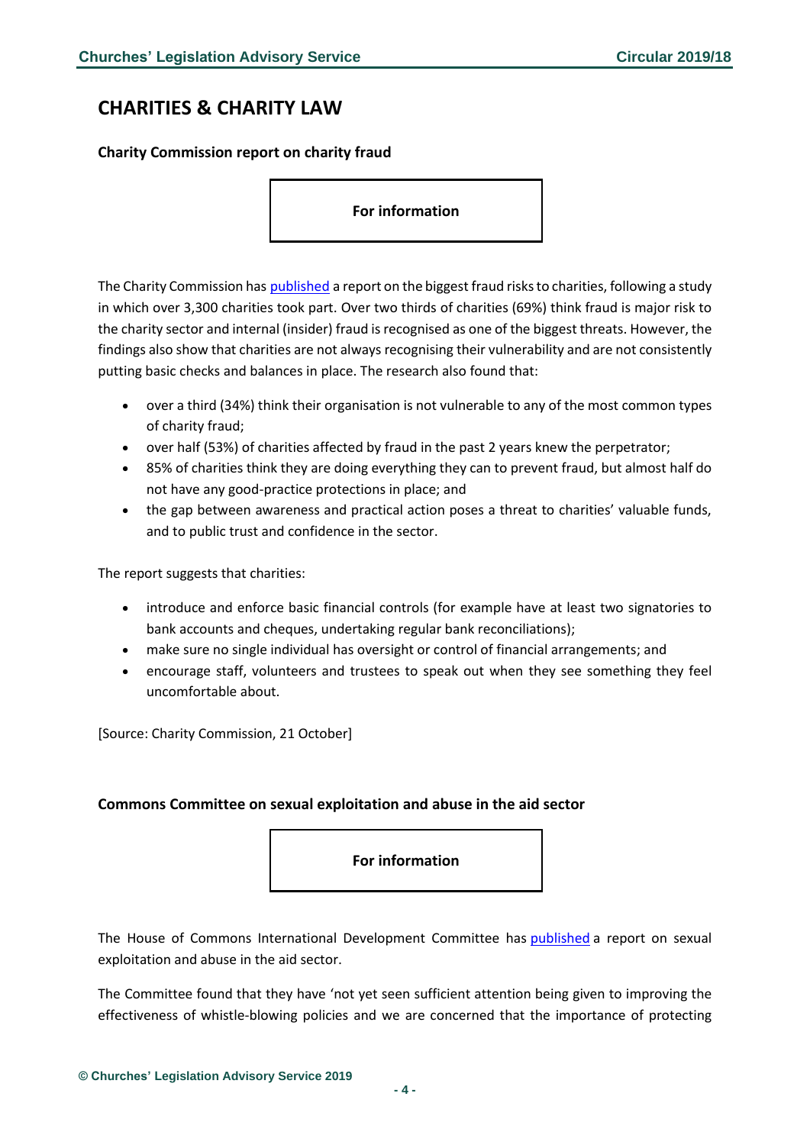# <span id="page-3-0"></span>**CHARITIES & CHARITY LAW**

## <span id="page-3-1"></span>**Charity Commission report on charity fraud**

**For information**

The Charity Commission has [published](https://www.gov.uk/government/publications/preventing-charity-fraud-insights-and-action?utm_source=c276531d-d0e2-4b33-ab1b-9eb0a5d0fe18&utm_medium=email&utm_campaign=govuk-notifications&utm_content=daily) a report on the biggest fraud risks to charities, following a study in which over 3,300 charities took part. Over two thirds of charities (69%) think fraud is major risk to the charity sector and internal (insider) fraud is recognised as one of the biggest threats. However, the findings also show that charities are not always recognising their vulnerability and are not consistently putting basic checks and balances in place. The research also found that:

- over a third (34%) think their organisation is not vulnerable to any of the most common types of charity fraud;
- over half (53%) of charities affected by fraud in the past 2 years knew the perpetrator;
- 85% of charities think they are doing everything they can to prevent fraud, but almost half do not have any good-practice protections in place; and
- the gap between awareness and practical action poses a threat to charities' valuable funds, and to public trust and confidence in the sector.

The report suggests that charities:

- introduce and enforce basic financial controls (for example have at least two signatories to bank accounts and cheques, undertaking regular bank reconciliations);
- make sure no single individual has oversight or control of financial arrangements; and
- encourage staff, volunteers and trustees to speak out when they see something they feel uncomfortable about.

[Source: Charity Commission, 21 October]

#### <span id="page-3-2"></span>**Commons Committee on sexual exploitation and abuse in the aid sector**

**For information**

The House of Commons International Development Committee has [published](https://publications.parliament.uk/pa/cm201920/cmselect/cmintdev/111/111.pdf) a report on sexual exploitation and abuse in the aid sector.

The Committee found that they have 'not yet seen sufficient attention being given to improving the effectiveness of whistle-blowing policies and we are concerned that the importance of protecting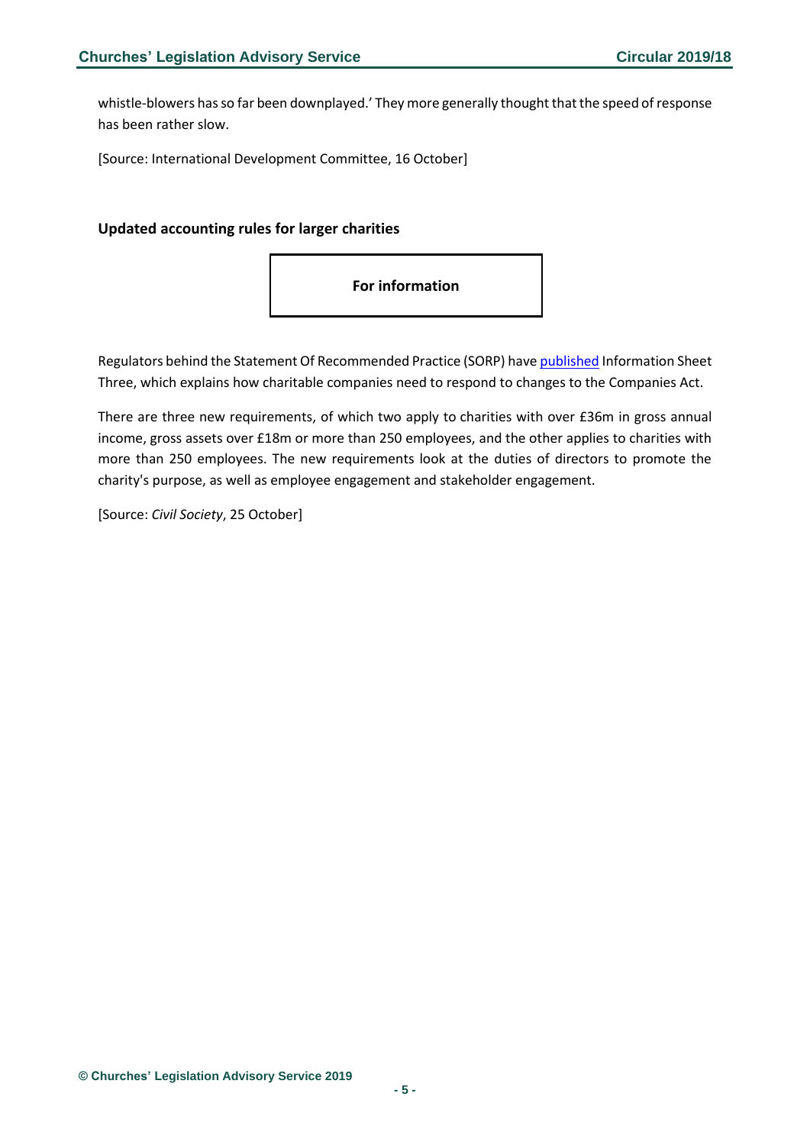whistle-blowers has so far been downplayed.' They more generally thought that the speed of response has been rather slow.

[Source: International Development Committee, 16 October]

#### <span id="page-4-0"></span>**Updated accounting rules for larger charities**



Regulators behind the Statement Of Recommended Practice (SORP) have [published](http://www.charitysorp.org/media/647775/information-sheet-3-the-companies-misc-reporting-regs-2018.pdf) Information Sheet Three, which explains how charitable companies need to respond to changes to the Companies Act.

There are three new requirements, of which two apply to charities with over £36m in gross annual income, gross assets over £18m or more than 250 employees, and the other applies to charities with more than 250 employees. The new requirements look at the duties of directors to promote the charity's purpose, as well as employee engagement and stakeholder engagement.

[Source: *Civil Society*, 25 October]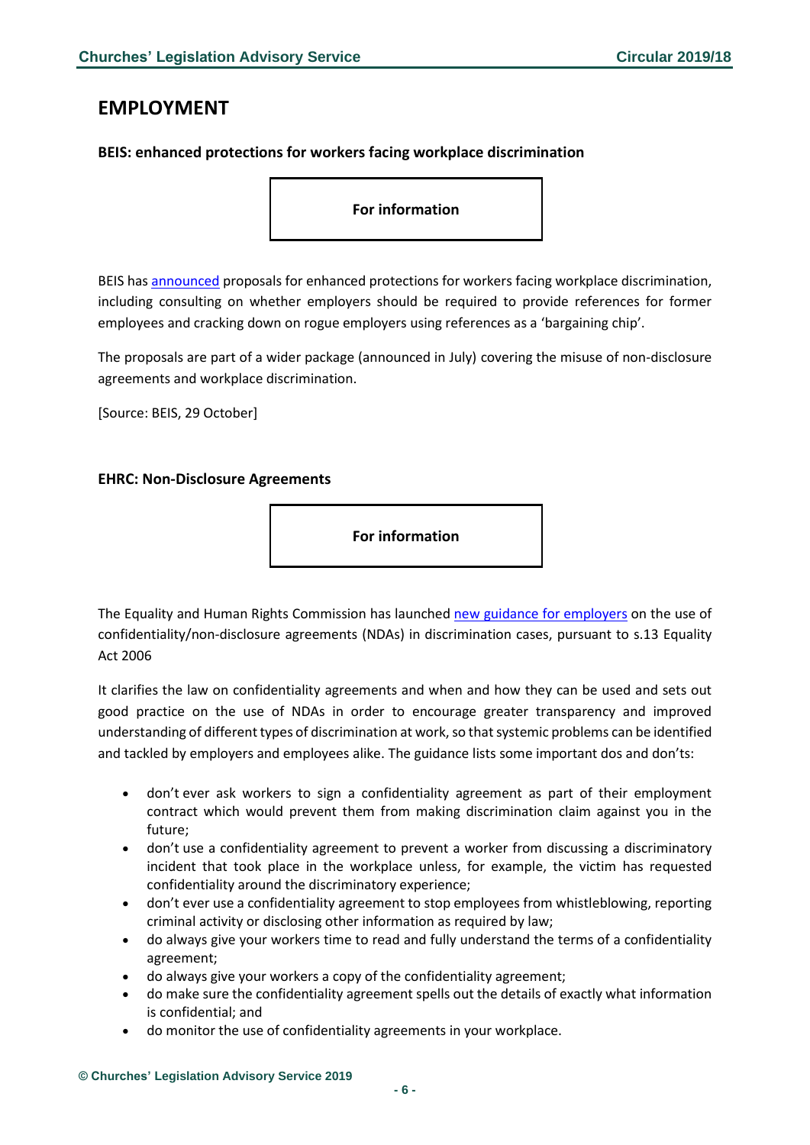# <span id="page-5-0"></span>**EMPLOYMENT**

## <span id="page-5-1"></span>**BEIS: enhanced protections for workers facing workplace discrimination**

**For information**

BEIS has [announced](https://www.gov.uk/government/news/government-proposes-enhanced-protections-for-workers-facing-workplace-discrimination?utm_source=c80f9876-34d8-4447-bb78-78468e8c8a65&utm_medium=email&utm_campaign=govuk-notifications&utm_content=daily) proposals for enhanced protections for workers facing workplace discrimination, including consulting on whether employers should be required to provide references for former employees and cracking down on rogue employers using references as a 'bargaining chip'.

The proposals are part of a wider package (announced in July) covering the misuse of non-disclosure agreements and workplace discrimination.

[Source: BEIS, 29 October]

#### <span id="page-5-2"></span>**EHRC: Non-Disclosure Agreements**

**For information**

The Equality and Human Rights Commission has launched [new guidance for employers](https://www.equalityhumanrights.com/en/publication-download/use-confidentiality-agreements-discrimination-cases) on the use of confidentiality/non-disclosure agreements (NDAs) in discrimination cases, pursuant to s.13 Equality Act 2006

It clarifies the law on confidentiality agreements and when and how they can be used and sets out good practice on the use of NDAs in order to encourage greater transparency and improved understanding of different types of discrimination at work, so that systemic problems can be identified and tackled by employers and employees alike. The guidance lists some important dos and don'ts:

- don't ever ask workers to sign a confidentiality agreement as part of their employment contract which would prevent them from making discrimination claim against you in the future;
- don't use a confidentiality agreement to prevent a worker from discussing a discriminatory incident that took place in the workplace unless, for example, the victim has requested confidentiality around the discriminatory experience;
- don't ever use a confidentiality agreement to stop employees from whistleblowing, reporting criminal activity or disclosing other information as required by law;
- do always give your workers time to read and fully understand the terms of a confidentiality agreement;
- do always give your workers a copy of the confidentiality agreement;
- do make sure the confidentiality agreement spells out the details of exactly what information is confidential; and
- do monitor the use of confidentiality agreements in your workplace.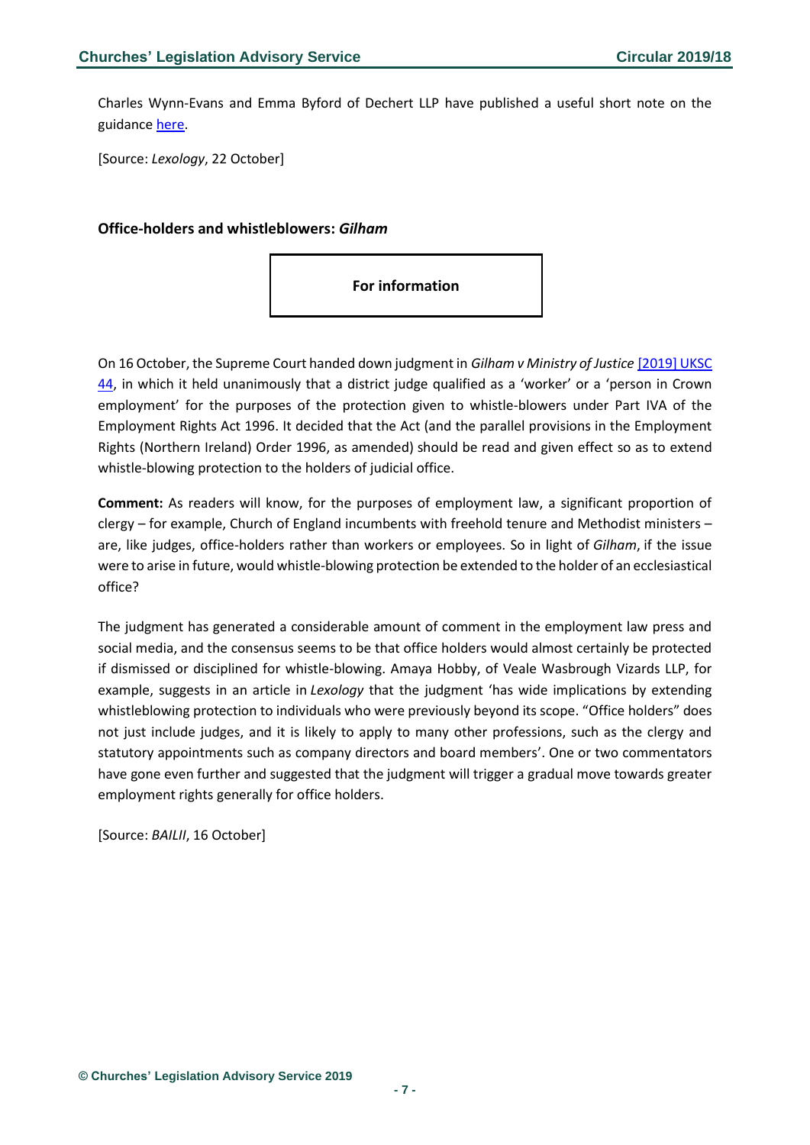Charles Wynn-Evans and Emma Byford of Dechert LLP have published a useful short note on the guidance [here.](https://www.lexology.com/library/detail.aspx?g=e2b48f65-e09e-4bfb-9eb4-422f5190790d&utm_source=Lexology+Daily+Newsfeed&utm_medium=HTML+email+-+Body+-+General+section&utm_campaign=Lexology+subscriber+daily+feed&utm_content=Lexology+Daily+Newsfeed+2019-10-22&utm_term=)

[Source: *Lexology*, 22 October]

#### <span id="page-6-0"></span>**Office-holders and whistleblowers:** *Gilham*

On 16 October, the Supreme Court handed down judgment in *Gilham v Ministry of Justice* [\[2019\] UKSC](https://www.bailii.org/uk/cases/UKSC/2019/44.html)  [44,](https://www.bailii.org/uk/cases/UKSC/2019/44.html) in which it held unanimously that a district judge qualified as a 'worker' or a 'person in Crown employment' for the purposes of the protection given to whistle-blowers under Part IVA of the Employment Rights Act 1996. It decided that the Act (and the parallel provisions in the Employment Rights (Northern Ireland) Order 1996, as amended) should be read and given effect so as to extend whistle-blowing protection to the holders of judicial office.

**Comment:** As readers will know, for the purposes of employment law, a significant proportion of clergy – for example, Church of England incumbents with freehold tenure and Methodist ministers – are, like judges, office-holders rather than workers or employees. So in light of *Gilham*, if the issue were to arise in future, would whistle-blowing protection be extended to the holder of an ecclesiastical office?

The judgment has generated a considerable amount of comment in the employment law press and social media, and the consensus seems to be that office holders would almost certainly be protected if dismissed or disciplined for whistle-blowing. Amaya Hobby, of Veale Wasbrough Vizards LLP, for example, suggests in an article in *Lexology* that the judgment 'has wide implications by extending whistleblowing protection to individuals who were previously beyond its scope. "Office holders" does not just include judges, and it is likely to apply to many other professions, such as the clergy and statutory appointments such as company directors and board members'. One or two commentators have gone even further and suggested that the judgment will trigger a gradual move towards greater employment rights generally for office holders.

[Source: *BAILII*, 16 October]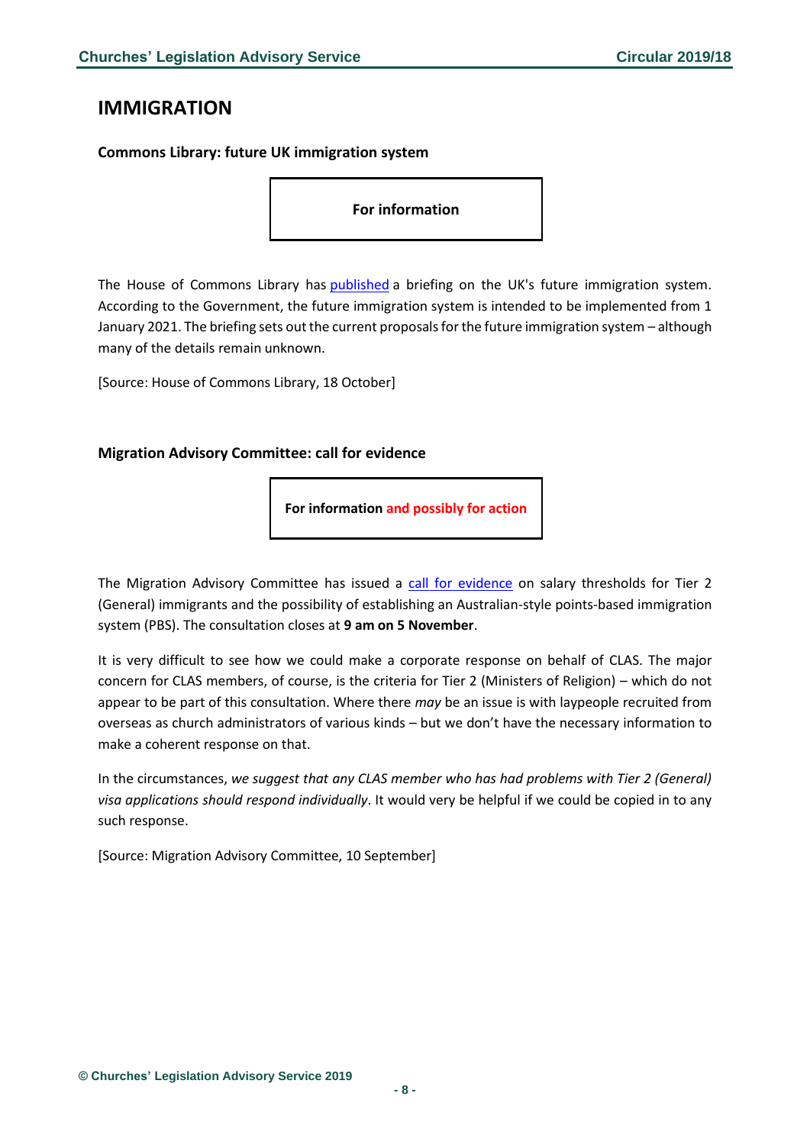## <span id="page-7-0"></span>**IMMIGRATION**

## <span id="page-7-1"></span>**Commons Library: future UK immigration system**

#### **For information**

The House of Commons Library has [published](https://researchbriefings.parliament.uk/ResearchBriefing/Summary/CBP-8711) a briefing on the UK's future immigration system. According to the Government, the future immigration system is intended to be implemented from 1 January 2021. The briefing sets out the current proposals for the future immigration system – although many of the details remain unknown.

[Source: House of Commons Library, 18 October]

#### <span id="page-7-2"></span>**Migration Advisory Committee: call for evidence**

**For information and possibly for action**

The Migration Advisory Committee has issued a [call for evidence](https://www.gov.uk/government/consultations/salary-threshold-and-points-based-system-pbs-commission-call-for-evidence#history) on salary thresholds for Tier 2 (General) immigrants and the possibility of establishing an Australian-style points-based immigration system (PBS). The consultation closes at **9 am on 5 November**.

It is very difficult to see how we could make a corporate response on behalf of CLAS. The major concern for CLAS members, of course, is the criteria for Tier 2 (Ministers of Religion) – which do not appear to be part of this consultation. Where there *may* be an issue is with laypeople recruited from overseas as church administrators of various kinds – but we don't have the necessary information to make a coherent response on that.

In the circumstances, *we suggest that any CLAS member who has had problems with Tier 2 (General) visa applications should respond individually*. It would very be helpful if we could be copied in to any such response.

[Source: Migration Advisory Committee, 10 September]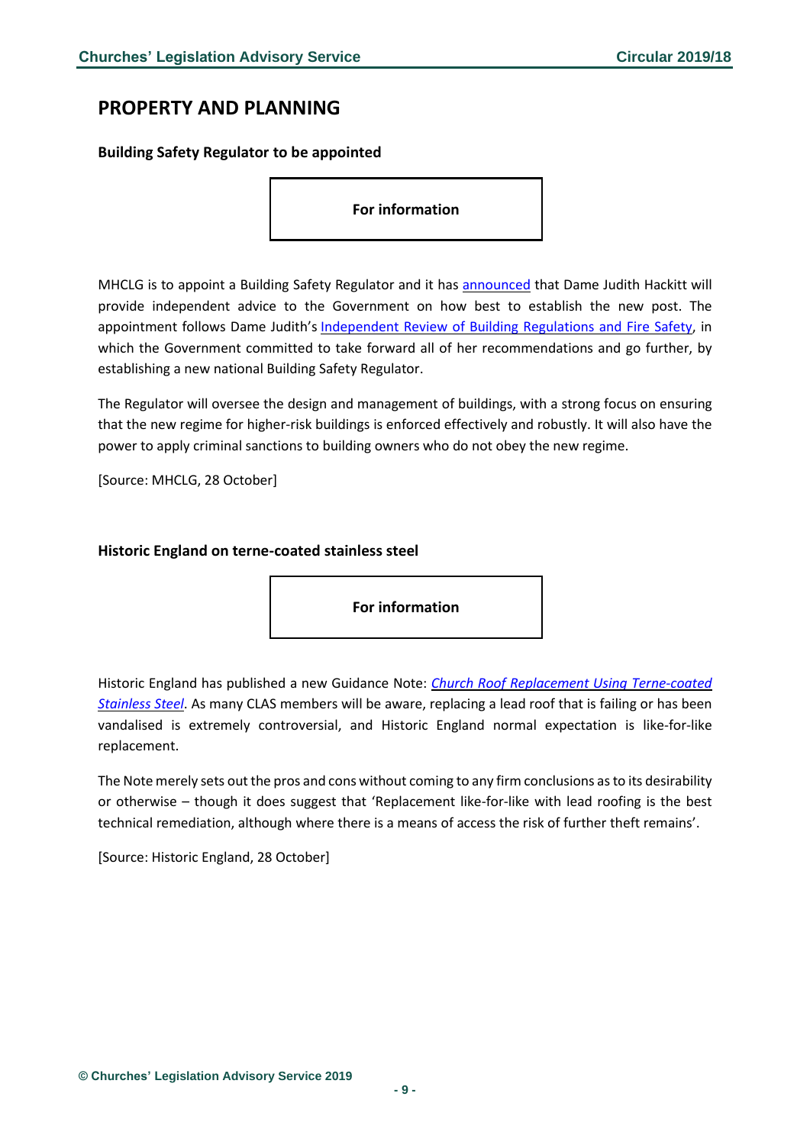## <span id="page-8-0"></span>**PROPERTY AND PLANNING**

#### <span id="page-8-1"></span>**Building Safety Regulator to be appointed**

**For information**

MHCLG is to appoint a Building Safety Regulator and it has [announced](https://www.gov.uk/government/news/dame-judith-hackitt-named-as-government-adviser-on-the-new-building-safety-regulator?utm_source=57c757b5-239a-4c47-9054-2fb4153511d4&utm_medium=email&utm_campaign=govuk-notifications&utm_content=daily) that Dame Judith Hackitt will provide independent advice to the Government on how best to establish the new post. The appointment follows Dame Judith's [Independent](https://www.gov.uk/government/collections/independent-review-of-building-regulations-and-fire-safety-hackitt-review) Review of Building Regulations and Fire Safety, in which the Government committed to take forward all of her recommendations and go further, by establishing a new national Building Safety Regulator.

The Regulator will oversee the design and management of buildings, with a strong focus on ensuring that the new regime for higher-risk buildings is enforced effectively and robustly. It will also have the power to apply criminal sanctions to building owners who do not obey the new regime.

[Source: MHCLG, 28 October]

#### <span id="page-8-2"></span>**Historic England on terne-coated stainless steel**

**For information**

Historic England has published a new Guidance Note: *Church Roof Replacement Using [Terne-coated](https://historicengland.org.uk/images-books/publications/church-roof-replacement-terne-coated-stainless-steel/heag280-church-roof-replacement-terne-coated-stainless-steel/) [Stainless](https://historicengland.org.uk/images-books/publications/church-roof-replacement-terne-coated-stainless-steel/heag280-church-roof-replacement-terne-coated-stainless-steel/) Steel*. As many CLAS members will be aware, replacing a lead roof that is failing or has been vandalised is extremely controversial, and Historic England normal expectation is like-for-like replacement.

The Note merely sets out the pros and cons without coming to any firm conclusions asto its desirability or otherwise – though it does suggest that 'Replacement like-for-like with lead roofing is the best technical remediation, although where there is a means of access the risk of further theft remains'.

[Source: Historic England, 28 October]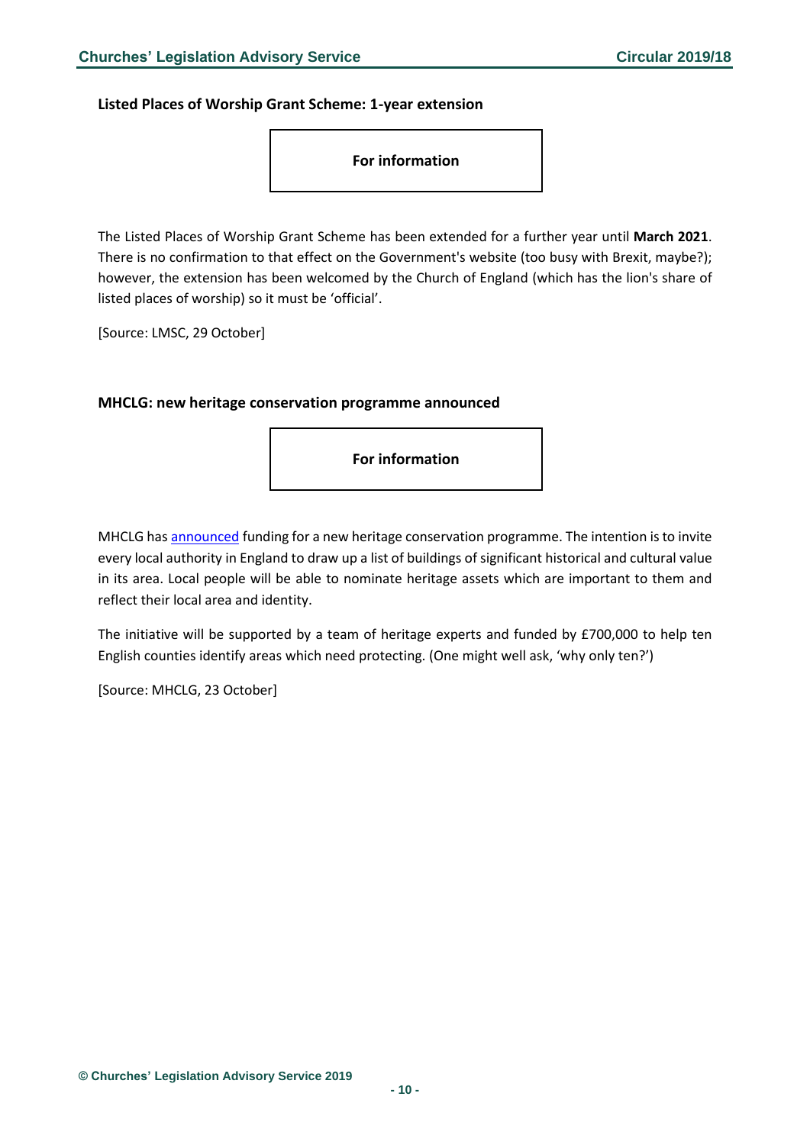<span id="page-9-0"></span>**Listed Places of Worship Grant Scheme: 1-year extension**



The Listed Places of Worship Grant Scheme has been extended for a further year until **March 2021**. There is no confirmation to that effect on the Government's website (too busy with Brexit, maybe?); however, the extension has been welcomed by the Church of England (which has the lion's share of listed places of worship) so it must be 'official'.

[Source: LMSC, 29 October]

#### <span id="page-9-1"></span>**MHCLG: new heritage conservation programme announced**

**For information**

MHCLG has [announced](https://www.gov.uk/government/news/communities-secretary-launches-most-ambitious-heritage-preservation-campaign-for-40-years) funding for a new heritage conservation programme. The intention is to invite every local authority in England to draw up a list of buildings of significant historical and cultural value in its area. Local people will be able to nominate heritage assets which are important to them and reflect their local area and identity.

The initiative will be supported by a team of heritage experts and funded by £700,000 to help ten English counties identify areas which need protecting. (One might well ask, 'why only ten?')

[Source: MHCLG, 23 October]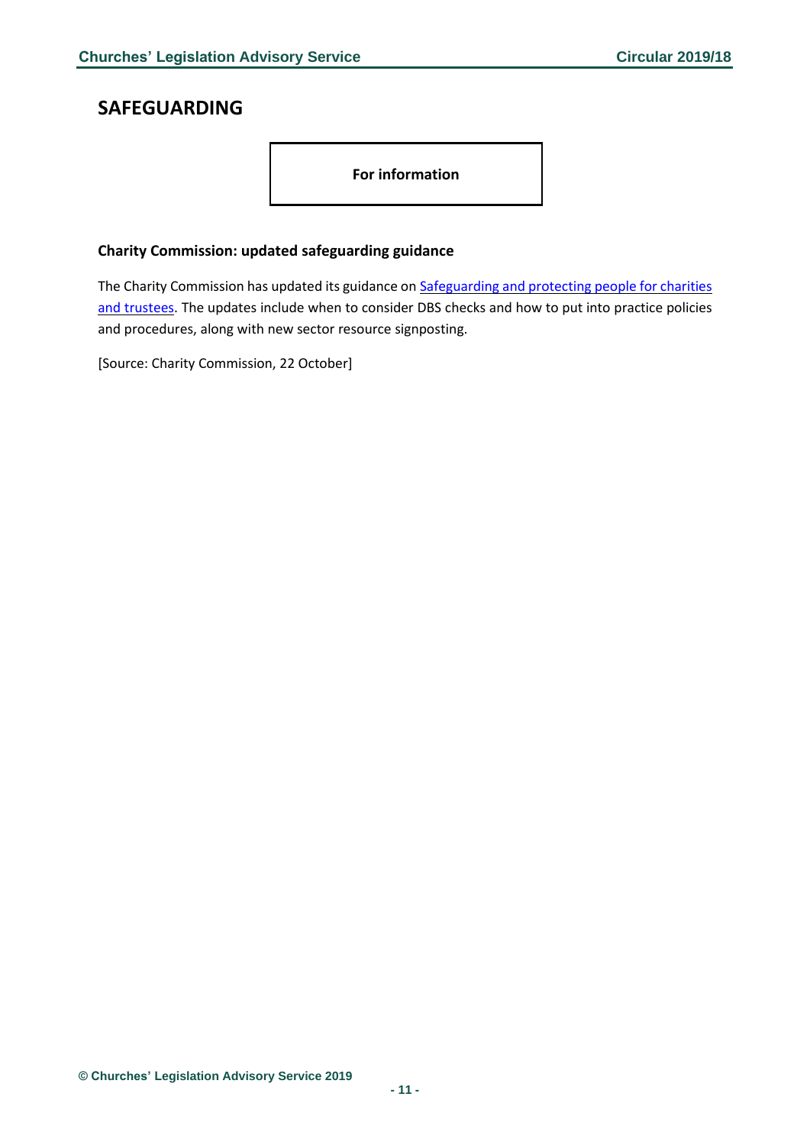# <span id="page-10-0"></span>**SAFEGUARDING**

**For information**

## <span id="page-10-1"></span>**Charity Commission: updated safeguarding guidance**

The Charity Commission has updated its guidance on **[Safeguarding](https://www.gov.uk/guidance/safeguarding-duties-for-charity-trustees?utm_source=f2ed3a9d-8bf0-43fd-9806-bd9b14de6a82&utm_medium=email&utm_campaign=govuk-notifications&utm_content=immediate) and protecting people for charities** and [trustees.](https://www.gov.uk/guidance/safeguarding-duties-for-charity-trustees?utm_source=f2ed3a9d-8bf0-43fd-9806-bd9b14de6a82&utm_medium=email&utm_campaign=govuk-notifications&utm_content=immediate) The updates include when to consider DBS checks and how to put into practice policies and procedures, along with new sector resource signposting.

[Source: Charity Commission, 22 October]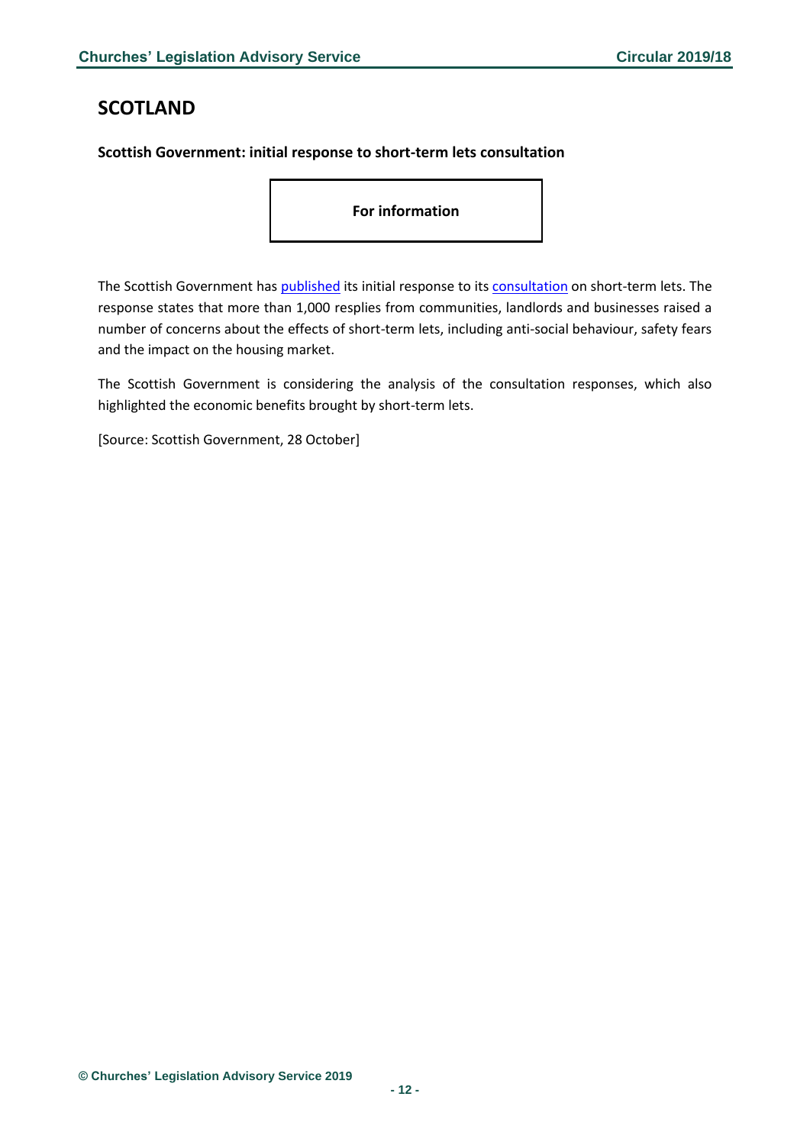# <span id="page-11-0"></span>**SCOTLAND**

## <span id="page-11-1"></span>**Scottish Government: initial response to short-term lets consultation**

**For information**

The Scottish Government has [published](https://news.gov.scot/news/short-term-lets) its initial response to its [consultation](https://consult.gov.scot/housing-services-policy-unit/short-term-lets/) on short-term lets. The response states that more than 1,000 resplies from communities, landlords and businesses raised a number of concerns about the effects of short-term lets, including anti-social behaviour, safety fears and the impact on the housing market.

The Scottish Government is considering the analysis of the consultation responses, which also highlighted the economic benefits brought by short-term lets.

[Source: Scottish Government, 28 October]